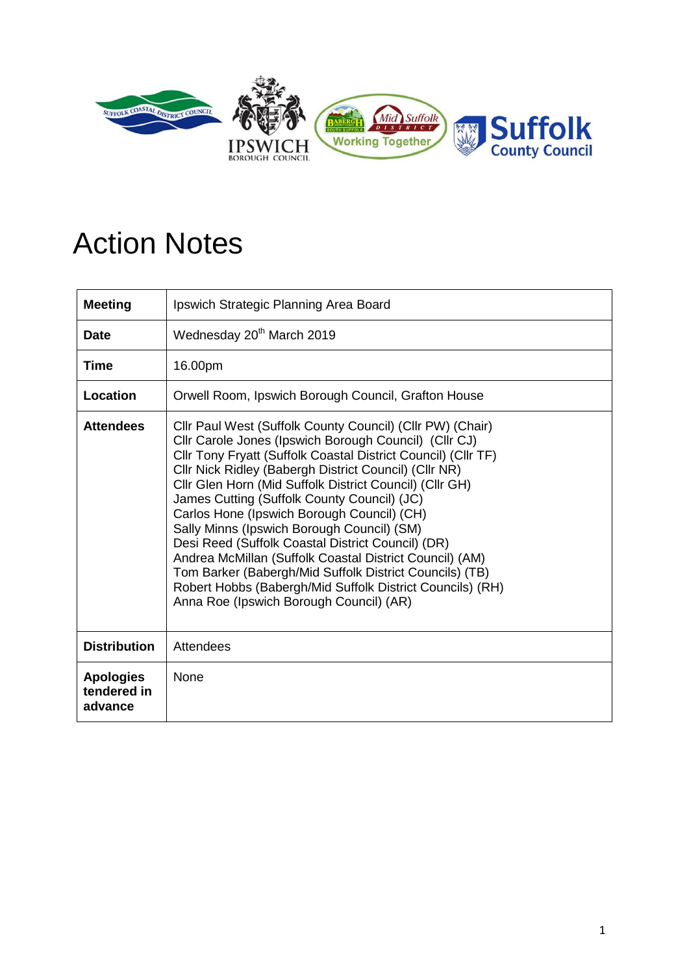

## Action Notes

| <b>Meeting</b>                             | Ipswich Strategic Planning Area Board                                                                                                                                                                                                                                                                                                                                                                                                                                                                                                                                                                                                                                                                                                 |
|--------------------------------------------|---------------------------------------------------------------------------------------------------------------------------------------------------------------------------------------------------------------------------------------------------------------------------------------------------------------------------------------------------------------------------------------------------------------------------------------------------------------------------------------------------------------------------------------------------------------------------------------------------------------------------------------------------------------------------------------------------------------------------------------|
| <b>Date</b>                                | Wednesday 20 <sup>th</sup> March 2019                                                                                                                                                                                                                                                                                                                                                                                                                                                                                                                                                                                                                                                                                                 |
| <b>Time</b>                                | 16.00pm                                                                                                                                                                                                                                                                                                                                                                                                                                                                                                                                                                                                                                                                                                                               |
| <b>Location</b>                            | Orwell Room, Ipswich Borough Council, Grafton House                                                                                                                                                                                                                                                                                                                                                                                                                                                                                                                                                                                                                                                                                   |
| <b>Attendees</b>                           | Cllr Paul West (Suffolk County Council) (Cllr PW) (Chair)<br>Cllr Carole Jones (Ipswich Borough Council) (Cllr CJ)<br>Cllr Tony Fryatt (Suffolk Coastal District Council) (Cllr TF)<br>Cllr Nick Ridley (Babergh District Council) (Cllr NR)<br>Cllr Glen Horn (Mid Suffolk District Council) (Cllr GH)<br>James Cutting (Suffolk County Council) (JC)<br>Carlos Hone (Ipswich Borough Council) (CH)<br>Sally Minns (Ipswich Borough Council) (SM)<br>Desi Reed (Suffolk Coastal District Council) (DR)<br>Andrea McMillan (Suffolk Coastal District Council) (AM)<br>Tom Barker (Babergh/Mid Suffolk District Councils) (TB)<br>Robert Hobbs (Babergh/Mid Suffolk District Councils) (RH)<br>Anna Roe (Ipswich Borough Council) (AR) |
| <b>Distribution</b>                        | Attendees                                                                                                                                                                                                                                                                                                                                                                                                                                                                                                                                                                                                                                                                                                                             |
| <b>Apologies</b><br>tendered in<br>advance | None                                                                                                                                                                                                                                                                                                                                                                                                                                                                                                                                                                                                                                                                                                                                  |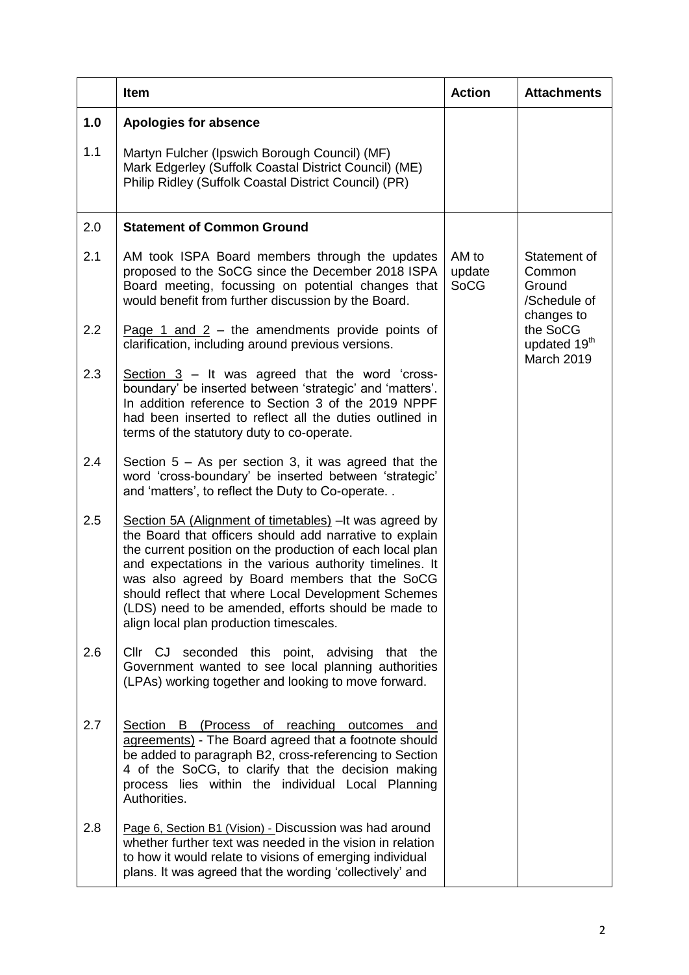|     | <b>Item</b>                                                                                                                                                                                                                                                                                                                                                                                                                                           | <b>Action</b>                                                                                                            | <b>Attachments</b> |
|-----|-------------------------------------------------------------------------------------------------------------------------------------------------------------------------------------------------------------------------------------------------------------------------------------------------------------------------------------------------------------------------------------------------------------------------------------------------------|--------------------------------------------------------------------------------------------------------------------------|--------------------|
| 1.0 | <b>Apologies for absence</b>                                                                                                                                                                                                                                                                                                                                                                                                                          |                                                                                                                          |                    |
| 1.1 | Martyn Fulcher (Ipswich Borough Council) (MF)<br>Mark Edgerley (Suffolk Coastal District Council) (ME)<br>Philip Ridley (Suffolk Coastal District Council) (PR)                                                                                                                                                                                                                                                                                       |                                                                                                                          |                    |
| 2.0 | <b>Statement of Common Ground</b>                                                                                                                                                                                                                                                                                                                                                                                                                     |                                                                                                                          |                    |
| 2.1 | AM took ISPA Board members through the updates<br>proposed to the SoCG since the December 2018 ISPA<br>Board meeting, focussing on potential changes that<br>would benefit from further discussion by the Board.                                                                                                                                                                                                                                      | AM to<br>update<br>Common<br><b>SoCG</b><br>Ground<br>/Schedule of<br>changes to<br>the SoCG<br>updated 19 <sup>th</sup> | Statement of       |
| 2.2 | Page 1 and $2 -$ the amendments provide points of<br>clarification, including around previous versions.                                                                                                                                                                                                                                                                                                                                               |                                                                                                                          | <b>March 2019</b>  |
| 2.3 | Section $3 -$ It was agreed that the word 'cross-<br>boundary' be inserted between 'strategic' and 'matters'.<br>In addition reference to Section 3 of the 2019 NPPF<br>had been inserted to reflect all the duties outlined in<br>terms of the statutory duty to co-operate.                                                                                                                                                                         |                                                                                                                          |                    |
| 2.4 | Section $5 - As$ per section 3, it was agreed that the<br>word 'cross-boundary' be inserted between 'strategic'<br>and 'matters', to reflect the Duty to Co-operate                                                                                                                                                                                                                                                                                   |                                                                                                                          |                    |
| 2.5 | Section 5A (Alignment of timetables) - It was agreed by<br>the Board that officers should add narrative to explain<br>the current position on the production of each local plan<br>and expectations in the various authority timelines. It<br>was also agreed by Board members that the SoCG<br>should reflect that where Local Development Schemes<br>(LDS) need to be amended, efforts should be made to<br>align local plan production timescales. |                                                                                                                          |                    |
| 2.6 | Cllr CJ seconded this point, advising that the<br>Government wanted to see local planning authorities<br>(LPAs) working together and looking to move forward.                                                                                                                                                                                                                                                                                         |                                                                                                                          |                    |
| 2.7 | Section B (Process of reaching<br>outcomes and<br>agreements) - The Board agreed that a footnote should<br>be added to paragraph B2, cross-referencing to Section<br>4 of the SoCG, to clarify that the decision making<br>process lies within the individual Local Planning<br>Authorities.                                                                                                                                                          |                                                                                                                          |                    |
| 2.8 | Page 6, Section B1 (Vision) - Discussion was had around<br>whether further text was needed in the vision in relation<br>to how it would relate to visions of emerging individual<br>plans. It was agreed that the wording 'collectively' and                                                                                                                                                                                                          |                                                                                                                          |                    |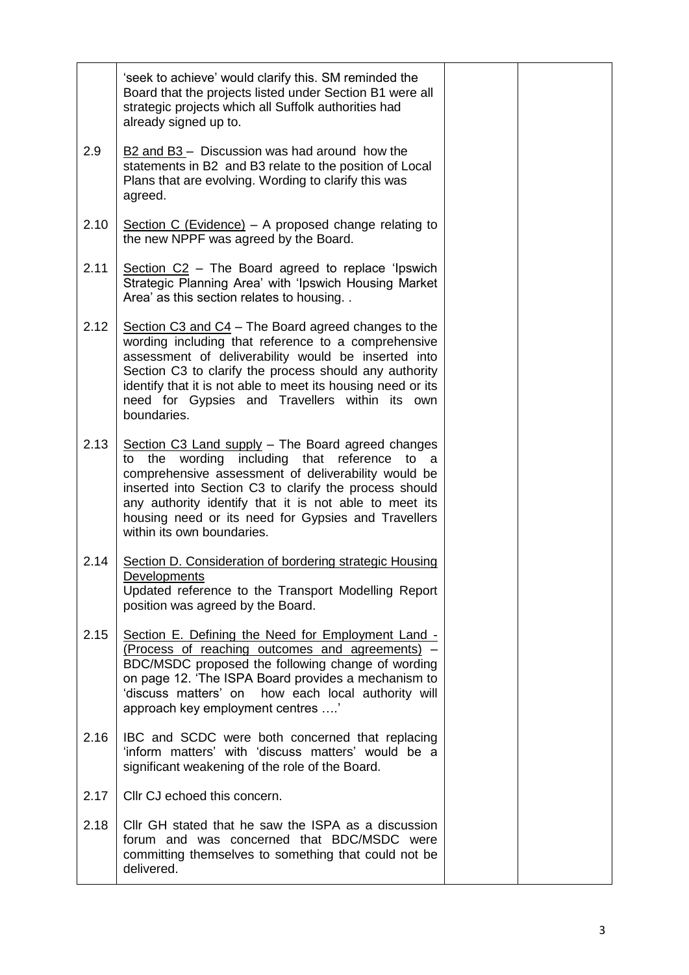|      | 'seek to achieve' would clarify this. SM reminded the<br>Board that the projects listed under Section B1 were all<br>strategic projects which all Suffolk authorities had<br>already signed up to.                                                                                                                                                                         |  |
|------|----------------------------------------------------------------------------------------------------------------------------------------------------------------------------------------------------------------------------------------------------------------------------------------------------------------------------------------------------------------------------|--|
| 2.9  | $\underline{B2}$ and $\underline{B3}$ – Discussion was had around how the<br>statements in B2 and B3 relate to the position of Local<br>Plans that are evolving. Wording to clarify this was<br>agreed.                                                                                                                                                                    |  |
| 2.10 | Section C (Evidence) – A proposed change relating to<br>the new NPPF was agreed by the Board.                                                                                                                                                                                                                                                                              |  |
| 2.11 | Section C2 - The Board agreed to replace 'Ipswich<br>Strategic Planning Area' with 'Ipswich Housing Market<br>Area' as this section relates to housing                                                                                                                                                                                                                     |  |
| 2.12 | Section C3 and $C4$ – The Board agreed changes to the<br>wording including that reference to a comprehensive<br>assessment of deliverability would be inserted into<br>Section C3 to clarify the process should any authority<br>identify that it is not able to meet its housing need or its<br>need for Gypsies and Travellers within its own<br>boundaries.             |  |
| 2.13 | Section C3 Land supply - The Board agreed changes<br>the wording including that reference<br>to<br>to<br>a<br>comprehensive assessment of deliverability would be<br>inserted into Section C3 to clarify the process should<br>any authority identify that it is not able to meet its<br>housing need or its need for Gypsies and Travellers<br>within its own boundaries. |  |
| 2.14 | Section D. Consideration of bordering strategic Housing<br><b>Developments</b><br>Updated reference to the Transport Modelling Report<br>position was agreed by the Board.                                                                                                                                                                                                 |  |
| 2.15 | Section E. Defining the Need for Employment Land -<br>(Process of reaching outcomes and agreements)<br>BDC/MSDC proposed the following change of wording<br>on page 12. 'The ISPA Board provides a mechanism to<br>'discuss matters' on<br>how each local authority will<br>approach key employment centres '                                                              |  |
| 2.16 | IBC and SCDC were both concerned that replacing<br>'inform matters' with 'discuss matters' would be a<br>significant weakening of the role of the Board.                                                                                                                                                                                                                   |  |
| 2.17 | Cllr CJ echoed this concern.                                                                                                                                                                                                                                                                                                                                               |  |
| 2.18 | Cllr GH stated that he saw the ISPA as a discussion<br>forum and was concerned that BDC/MSDC were<br>committing themselves to something that could not be<br>delivered.                                                                                                                                                                                                    |  |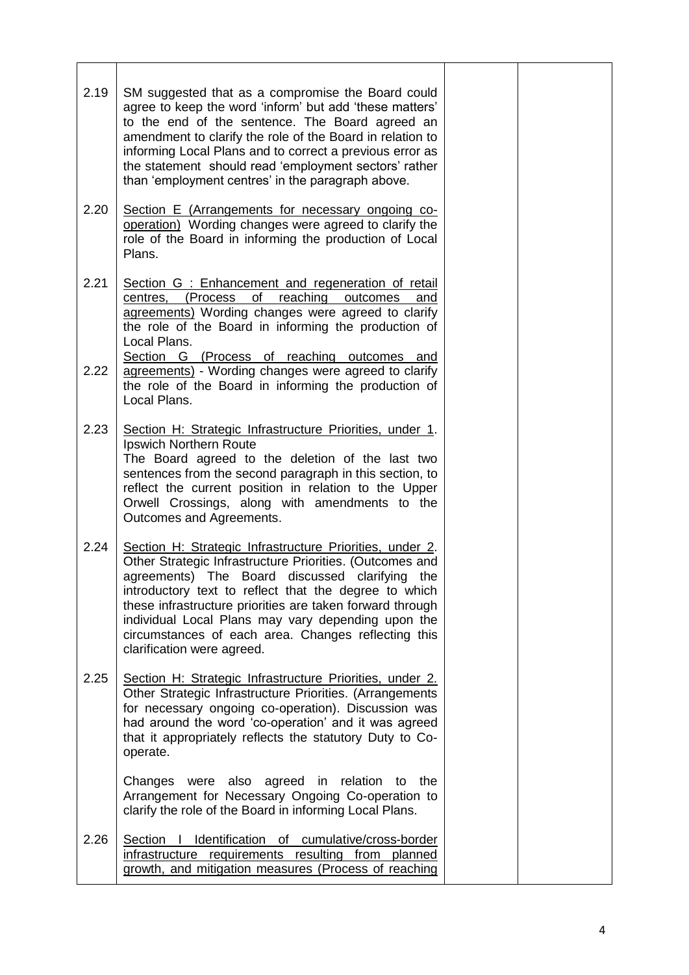| 2.19 | SM suggested that as a compromise the Board could<br>agree to keep the word 'inform' but add 'these matters'<br>to the end of the sentence. The Board agreed an<br>amendment to clarify the role of the Board in relation to<br>informing Local Plans and to correct a previous error as<br>the statement should read 'employment sectors' rather<br>than 'employment centres' in the paragraph above.                                  |  |
|------|-----------------------------------------------------------------------------------------------------------------------------------------------------------------------------------------------------------------------------------------------------------------------------------------------------------------------------------------------------------------------------------------------------------------------------------------|--|
| 2.20 | Section E (Arrangements for necessary ongoing co-<br>operation) Wording changes were agreed to clarify the<br>role of the Board in informing the production of Local<br>Plans.                                                                                                                                                                                                                                                          |  |
| 2.21 | Section G : Enhancement and regeneration of retail<br>reaching<br>(Process)<br>of<br>centres,<br>outcomes<br>and<br>agreements) Wording changes were agreed to clarify<br>the role of the Board in informing the production of<br>Local Plans.<br>Section G (Process of reaching outcomes and                                                                                                                                           |  |
| 2.22 | agreements) - Wording changes were agreed to clarify<br>the role of the Board in informing the production of<br>Local Plans.                                                                                                                                                                                                                                                                                                            |  |
| 2.23 | Section H: Strategic Infrastructure Priorities, under 1.<br>Ipswich Northern Route<br>The Board agreed to the deletion of the last two<br>sentences from the second paragraph in this section, to<br>reflect the current position in relation to the Upper<br>Orwell Crossings, along with amendments to the<br>Outcomes and Agreements.                                                                                                |  |
| 2.24 | Section H: Strategic Infrastructure Priorities, under 2.<br>Other Strategic Infrastructure Priorities. (Outcomes and<br>agreements) The Board discussed clarifying the<br>introductory text to reflect that the degree to which<br>these infrastructure priorities are taken forward through<br>individual Local Plans may vary depending upon the<br>circumstances of each area. Changes reflecting this<br>clarification were agreed. |  |
| 2.25 | Section H: Strategic Infrastructure Priorities, under 2.<br>Other Strategic Infrastructure Priorities. (Arrangements<br>for necessary ongoing co-operation). Discussion was<br>had around the word 'co-operation' and it was agreed<br>that it appropriately reflects the statutory Duty to Co-<br>operate.                                                                                                                             |  |
|      | Changes were also agreed in relation to the<br>Arrangement for Necessary Ongoing Co-operation to<br>clarify the role of the Board in informing Local Plans.                                                                                                                                                                                                                                                                             |  |
| 2.26 | Section I Identification of cumulative/cross-border<br>infrastructure requirements resulting from planned<br>growth, and mitigation measures (Process of reaching                                                                                                                                                                                                                                                                       |  |